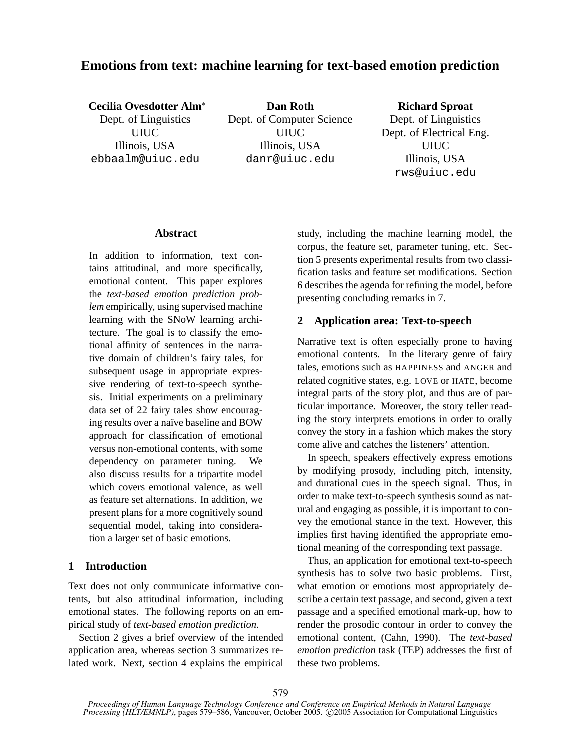# **Emotions from text: machine learning for text-based emotion prediction**

**Cecilia Ovesdotter Alm**<sup>∗</sup> Dept. of Linguistics UIUC Illinois, USA ebbaalm@uiuc.edu

**Dan Roth** Dept. of Computer Science UIUC Illinois, USA danr@uiuc.edu

# **Richard Sproat**

Dept. of Linguistics Dept. of Electrical Eng. UIUC Illinois, USA rws@uiuc.edu

### **Abstract**

In addition to information, text contains attitudinal, and more specifically, emotional content. This paper explores the *text-based emotion prediction problem* empirically, using supervised machine learning with the SNoW learning architecture. The goal is to classify the emotional affinity of sentences in the narrative domain of children's fairy tales, for subsequent usage in appropriate expressive rendering of text-to-speech synthesis. Initial experiments on a preliminary data set of 22 fairy tales show encouraging results over a naïve baseline and BOW approach for classification of emotional versus non-emotional contents, with some dependency on parameter tuning. We also discuss results for a tripartite model which covers emotional valence, as well as feature set alternations. In addition, we present plans for a more cognitively sound sequential model, taking into consideration a larger set of basic emotions.

# **1 Introduction**

Text does not only communicate informative contents, but also attitudinal information, including emotional states. The following reports on an empirical study of *text-based emotion prediction*.

Section 2 gives a brief overview of the intended application area, whereas section 3 summarizes related work. Next, section 4 explains the empirical study, including the machine learning model, the corpus, the feature set, parameter tuning, etc. Section 5 presents experimental results from two classification tasks and feature set modifications. Section 6 describes the agenda for refining the model, before presenting concluding remarks in 7.

# **2 Application area: Text-to-speech**

Narrative text is often especially prone to having emotional contents. In the literary genre of fairy tales, emotions such as HAPPINESS and ANGER and related cognitive states, e.g. LOVE or HATE, become integral parts of the story plot, and thus are of particular importance. Moreover, the story teller reading the story interprets emotions in order to orally convey the story in a fashion which makes the story come alive and catches the listeners' attention.

In speech, speakers effectively express emotions by modifying prosody, including pitch, intensity, and durational cues in the speech signal. Thus, in order to make text-to-speech synthesis sound as natural and engaging as possible, it is important to convey the emotional stance in the text. However, this implies first having identified the appropriate emotional meaning of the corresponding text passage.

Thus, an application for emotional text-to-speech synthesis has to solve two basic problems. First, what emotion or emotions most appropriately describe a certain text passage, and second, given a text passage and a specified emotional mark-up, how to render the prosodic contour in order to convey the emotional content, (Cahn, 1990). The *text-based emotion prediction* task (TEP) addresses the first of these two problems.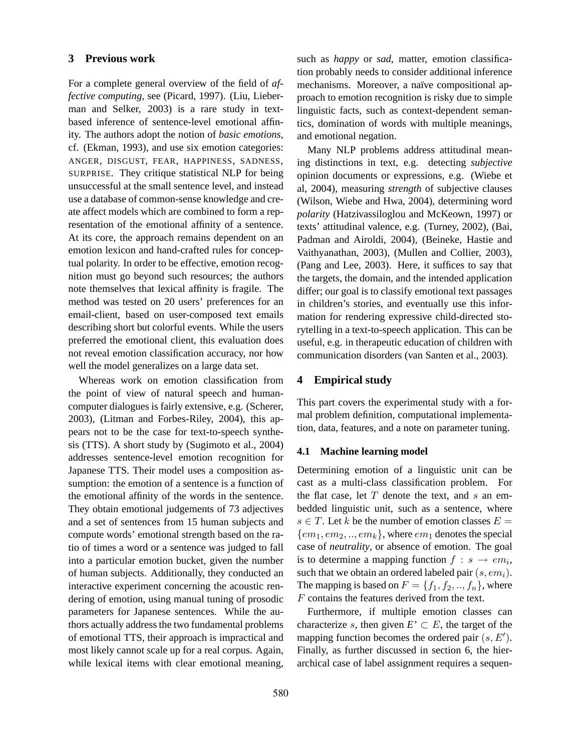# **3 Previous work**

For a complete general overview of the field of *affective computing*, see (Picard, 1997). (Liu, Lieberman and Selker, 2003) is a rare study in textbased inference of sentence-level emotional affinity. The authors adopt the notion of *basic emotions*, cf. (Ekman, 1993), and use six emotion categories: ANGER, DISGUST, FEAR, HAPPINESS, SADNESS, SURPRISE. They critique statistical NLP for being unsuccessful at the small sentence level, and instead use a database of common-sense knowledge and create affect models which are combined to form a representation of the emotional affinity of a sentence. At its core, the approach remains dependent on an emotion lexicon and hand-crafted rules for conceptual polarity. In order to be effective, emotion recognition must go beyond such resources; the authors note themselves that lexical affinity is fragile. The method was tested on 20 users' preferences for an email-client, based on user-composed text emails describing short but colorful events. While the users preferred the emotional client, this evaluation does not reveal emotion classification accuracy, nor how well the model generalizes on a large data set.

Whereas work on emotion classification from the point of view of natural speech and humancomputer dialogues is fairly extensive, e.g. (Scherer, 2003), (Litman and Forbes-Riley, 2004), this appears not to be the case for text-to-speech synthesis (TTS). A short study by (Sugimoto et al., 2004) addresses sentence-level emotion recognition for Japanese TTS. Their model uses a composition assumption: the emotion of a sentence is a function of the emotional affinity of the words in the sentence. They obtain emotional judgements of 73 adjectives and a set of sentences from 15 human subjects and compute words' emotional strength based on the ratio of times a word or a sentence was judged to fall into a particular emotion bucket, given the number of human subjects. Additionally, they conducted an interactive experiment concerning the acoustic rendering of emotion, using manual tuning of prosodic parameters for Japanese sentences. While the authors actually address the two fundamental problems of emotional TTS, their approach is impractical and most likely cannot scale up for a real corpus. Again, while lexical items with clear emotional meaning,

such as *happy* or *sad*, matter, emotion classification probably needs to consider additional inference mechanisms. Moreover, a naïve compositional approach to emotion recognition is risky due to simple linguistic facts, such as context-dependent semantics, domination of words with multiple meanings, and emotional negation.

Many NLP problems address attitudinal meaning distinctions in text, e.g. detecting *subjective* opinion documents or expressions, e.g. (Wiebe et al, 2004), measuring *strength* of subjective clauses (Wilson, Wiebe and Hwa, 2004), determining word *polarity* (Hatzivassiloglou and McKeown, 1997) or texts' attitudinal valence, e.g. (Turney, 2002), (Bai, Padman and Airoldi, 2004), (Beineke, Hastie and Vaithyanathan, 2003), (Mullen and Collier, 2003), (Pang and Lee, 2003). Here, it suffices to say that the targets, the domain, and the intended application differ; our goal is to classify emotional text passages in children's stories, and eventually use this information for rendering expressive child-directed storytelling in a text-to-speech application. This can be useful, e.g. in therapeutic education of children with communication disorders (van Santen et al., 2003).

### **4 Empirical study**

This part covers the experimental study with a formal problem definition, computational implementation, data, features, and a note on parameter tuning.

#### **4.1 Machine learning model**

Determining emotion of a linguistic unit can be cast as a multi-class classification problem. For the flat case, let  $T$  denote the text, and  $s$  an embedded linguistic unit, such as a sentence, where  $s \in T$ . Let k be the number of emotion classes  $E =$  $\{em_1, em_2, \ldots, em_k\}$ , where  $em_1$  denotes the special case of *neutrality*, or absence of emotion. The goal is to determine a mapping function  $f : s \rightarrow em_i$ , such that we obtain an ordered labeled pair  $(s, em_i)$ . The mapping is based on  $F = \{f_1, f_2, ..., f_n\}$ , where F contains the features derived from the text.

Furthermore, if multiple emotion classes can characterize s, then given  $E' \subset E$ , the target of the mapping function becomes the ordered pair  $(s, E')$ . Finally, as further discussed in section 6, the hierarchical case of label assignment requires a sequen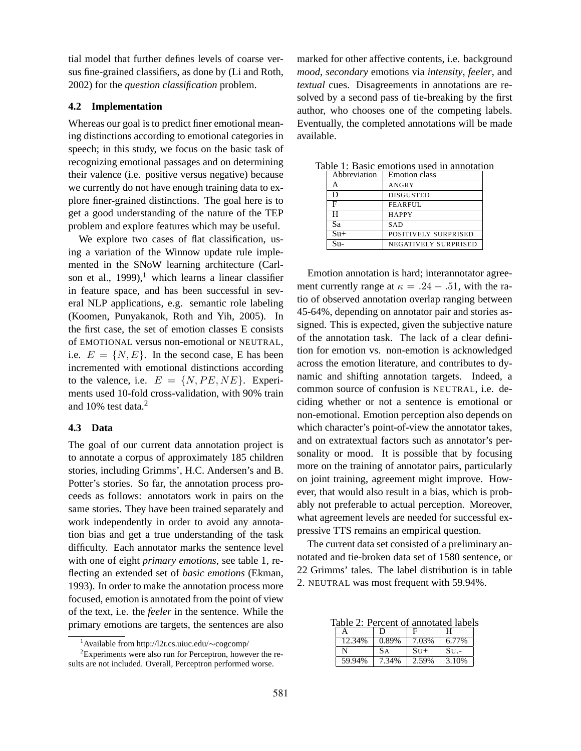tial model that further defines levels of coarse versus fine-grained classifiers, as done by (Li and Roth, 2002) for the *question classification* problem.

#### **4.2 Implementation**

Whereas our goal is to predict finer emotional meaning distinctions according to emotional categories in speech; in this study, we focus on the basic task of recognizing emotional passages and on determining their valence (i.e. positive versus negative) because we currently do not have enough training data to explore finer-grained distinctions. The goal here is to get a good understanding of the nature of the TEP problem and explore features which may be useful.

We explore two cases of flat classification, using a variation of the Winnow update rule implemented in the SNoW learning architecture (Carlson et al., 1999),<sup>1</sup> which learns a linear classifier in feature space, and has been successful in several NLP applications, e.g. semantic role labeling (Koomen, Punyakanok, Roth and Yih, 2005). In the first case, the set of emotion classes E consists of EMOTIONAL versus non-emotional or NEUTRAL, i.e.  $E = \{N, E\}$ . In the second case, E has been incremented with emotional distinctions according to the valence, i.e.  $E = \{N, PE, NE\}$ . Experiments used 10-fold cross-validation, with 90% train and 10% test data.<sup>2</sup>

#### **4.3 Data**

The goal of our current data annotation project is to annotate a corpus of approximately 185 children stories, including Grimms', H.C. Andersen's and B. Potter's stories. So far, the annotation process proceeds as follows: annotators work in pairs on the same stories. They have been trained separately and work independently in order to avoid any annotation bias and get a true understanding of the task difficulty. Each annotator marks the sentence level with one of eight *primary emotions*, see table 1, reflecting an extended set of *basic emotions* (Ekman, 1993). In order to make the annotation process more focused, emotion is annotated from the point of view of the text, i.e. the *feeler* in the sentence. While the primary emotions are targets, the sentences are also marked for other affective contents, i.e. background *mood*, *secondary* emotions via *intensity*, *feeler*, and *textual* cues. Disagreements in annotations are resolved by a second pass of tie-breaking by the first author, who chooses one of the competing labels. Eventually, the completed annotations will be made available.

| Abbreviation | <b>Emotion</b> class        |
|--------------|-----------------------------|
| А            | ANGRY                       |
| D            | <b>DISGUSTED</b>            |
| F            | <b>FEARFUL</b>              |
| н            | <b>HAPPY</b>                |
| Sa           | <b>SAD</b>                  |
| $Su+$        | POSITIVELY SURPRISED        |
|              | <b>NEGATIVELY SURPRISED</b> |

Table 1: Basic emotions used in annotation

Emotion annotation is hard; interannotator agreement currently range at  $\kappa = .24 - .51$ , with the ratio of observed annotation overlap ranging between 45-64%, depending on annotator pair and stories assigned. This is expected, given the subjective nature of the annotation task. The lack of a clear definition for emotion vs. non-emotion is acknowledged across the emotion literature, and contributes to dynamic and shifting annotation targets. Indeed, a common source of confusion is NEUTRAL, i.e. deciding whether or not a sentence is emotional or non-emotional. Emotion perception also depends on which character's point-of-view the annotator takes, and on extratextual factors such as annotator's personality or mood. It is possible that by focusing more on the training of annotator pairs, particularly on joint training, agreement might improve. However, that would also result in a bias, which is probably not preferable to actual perception. Moreover, what agreement levels are needed for successful expressive TTS remains an empirical question.

The current data set consisted of a preliminary annotated and tie-broken data set of 1580 sentence, or 22 Grimms' tales. The label distribution is in table 2. NEUTRAL was most frequent with 59.94%.

Table 2: Percent of annotated labels

| А      | Ð     | F      | н           |
|--------|-------|--------|-------------|
| 12.34% | 0.89% | 7.03%  | 6.77%       |
| N      | SА    | $StI+$ | $\rm SU$ .- |
| 59.94% | 7.34% | 2.59%  | 3.10%       |

<sup>1</sup>Available from http://l2r.cs.uiuc.edu/∼cogcomp/

<sup>2</sup>Experiments were also run for Perceptron, however the results are not included. Overall, Perceptron performed worse.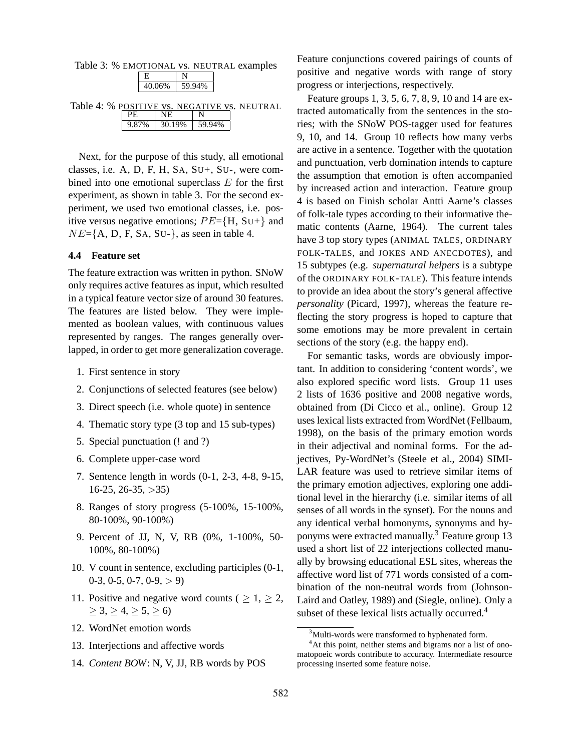| Table 3: % EMOTIONAL vs. NEUTRAL examples |               |  |
|-------------------------------------------|---------------|--|
|                                           |               |  |
|                                           | 40.06% 59.94% |  |
|                                           |               |  |

| Table 4: % POSITIVE vs. NEGATIVE vs. NEUTRAL |                              |  |
|----------------------------------------------|------------------------------|--|
|                                              | I NE.                        |  |
|                                              | $9.87\%$   30.19\%   59.94\% |  |

Next, for the purpose of this study, all emotional classes, i.e. A, D, F, H, SA, SU+, SU-, were combined into one emotional superclass  $E$  for the first experiment, as shown in table 3. For the second experiment, we used two emotional classes, i.e. positive versus negative emotions;  $PE=\{H, SU+\}$  and  $NE=\{A, D, F, SA, SU\}$ , as seen in table 4.

### **4.4 Feature set**

The feature extraction was written in python. SNoW only requires active features as input, which resulted in a typical feature vector size of around 30 features. The features are listed below. They were implemented as boolean values, with continuous values represented by ranges. The ranges generally overlapped, in order to get more generalization coverage.

- 1. First sentence in story
- 2. Conjunctions of selected features (see below)
- 3. Direct speech (i.e. whole quote) in sentence
- 4. Thematic story type (3 top and 15 sub-types)
- 5. Special punctuation (! and ?)
- 6. Complete upper-case word
- 7. Sentence length in words (0-1, 2-3, 4-8, 9-15,  $16-25, 26-35, >35$
- 8. Ranges of story progress (5-100%, 15-100%, 80-100%, 90-100%)
- 9. Percent of JJ, N, V, RB (0%, 1-100%, 50- 100%, 80-100%)
- 10. V count in sentence, excluding participles (0-1,  $0-3, 0-5, 0-7, 0-9, > 9$
- 11. Positive and negative word counts (  $\geq 1, \geq 2$ ,  $\geq 3, \geq 4, \geq 5, \geq 6$
- 12. WordNet emotion words
- 13. Interjections and affective words
- 14. *Content BOW*: N, V, JJ, RB words by POS

Feature conjunctions covered pairings of counts of positive and negative words with range of story progress or interjections, respectively.

Feature groups 1, 3, 5, 6, 7, 8, 9, 10 and 14 are extracted automatically from the sentences in the stories; with the SNoW POS-tagger used for features 9, 10, and 14. Group 10 reflects how many verbs are active in a sentence. Together with the quotation and punctuation, verb domination intends to capture the assumption that emotion is often accompanied by increased action and interaction. Feature group 4 is based on Finish scholar Antti Aarne's classes of folk-tale types according to their informative thematic contents (Aarne, 1964). The current tales have 3 top story types (ANIMAL TALES, ORDINARY FOLK-TALES, and JOKES AND ANECDOTES), and 15 subtypes (e.g. *supernatural helpers* is a subtype of the ORDINARY FOLK-TALE). This feature intends to provide an idea about the story's general affective *personality* (Picard, 1997), whereas the feature reflecting the story progress is hoped to capture that some emotions may be more prevalent in certain sections of the story (e.g. the happy end).

For semantic tasks, words are obviously important. In addition to considering 'content words', we also explored specific word lists. Group 11 uses 2 lists of 1636 positive and 2008 negative words, obtained from (Di Cicco et al., online). Group 12 uses lexical lists extracted from WordNet (Fellbaum, 1998), on the basis of the primary emotion words in their adjectival and nominal forms. For the adjectives, Py-WordNet's (Steele et al., 2004) SIMI-LAR feature was used to retrieve similar items of the primary emotion adjectives, exploring one additional level in the hierarchy (i.e. similar items of all senses of all words in the synset). For the nouns and any identical verbal homonyms, synonyms and hyponyms were extracted manually.<sup>3</sup> Feature group 13 used a short list of 22 interjections collected manually by browsing educational ESL sites, whereas the affective word list of 771 words consisted of a combination of the non-neutral words from (Johnson-Laird and Oatley, 1989) and (Siegle, online). Only a subset of these lexical lists actually occurred.<sup>4</sup>

<sup>&</sup>lt;sup>3</sup>Multi-words were transformed to hyphenated form.

<sup>&</sup>lt;sup>4</sup>At this point, neither stems and bigrams nor a list of onomatopoeic words contribute to accuracy. Intermediate resource processing inserted some feature noise.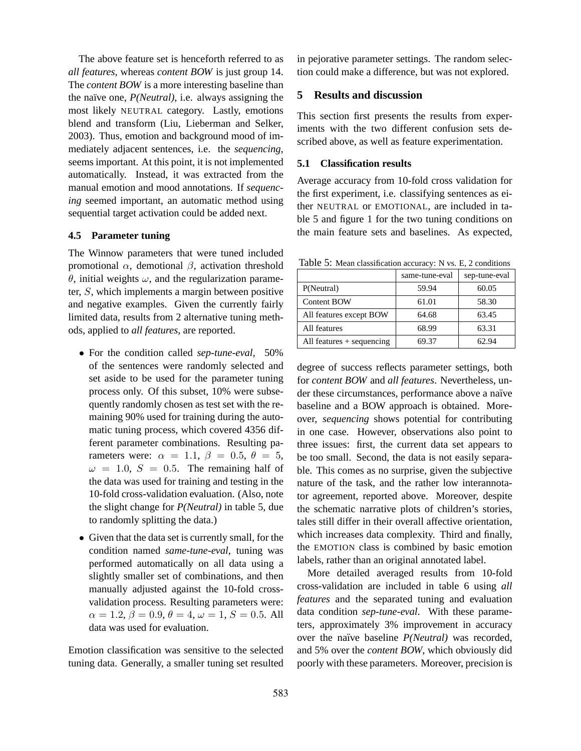The above feature set is henceforth referred to as *all features*, whereas *content BOW* is just group 14. The *content BOW* is a more interesting baseline than the naïve one, *P(Neutral)*, i.e. always assigning the most likely NEUTRAL category. Lastly, emotions blend and transform (Liu, Lieberman and Selker, 2003). Thus, emotion and background mood of immediately adjacent sentences, i.e. the *sequencing*, seems important. At this point, it is not implemented automatically. Instead, it was extracted from the manual emotion and mood annotations. If *sequencing* seemed important, an automatic method using sequential target activation could be added next.

### **4.5 Parameter tuning**

The Winnow parameters that were tuned included promotional  $\alpha$ , demotional  $\beta$ , activation threshold θ, initial weights ω, and the regularization parameter, S, which implements a margin between positive and negative examples. Given the currently fairly limited data, results from 2 alternative tuning methods, applied to *all features*, are reported.

- For the condition called *sep-tune-eval*, 50% of the sentences were randomly selected and set aside to be used for the parameter tuning process only. Of this subset, 10% were subsequently randomly chosen as test set with the remaining 90% used for training during the automatic tuning process, which covered 4356 different parameter combinations. Resulting parameters were:  $\alpha = 1.1, \beta = 0.5, \theta = 5,$  $\omega = 1.0$ ,  $S = 0.5$ . The remaining half of the data was used for training and testing in the 10-fold cross-validation evaluation. (Also, note the slight change for *P(Neutral)* in table 5, due to randomly splitting the data.)
- Given that the data set is currently small, for the condition named *same-tune-eval*, tuning was performed automatically on all data using a slightly smaller set of combinations, and then manually adjusted against the 10-fold crossvalidation process. Resulting parameters were:  $\alpha = 1.2, \beta = 0.9, \theta = 4, \omega = 1, S = 0.5$ . All data was used for evaluation.

Emotion classification was sensitive to the selected tuning data. Generally, a smaller tuning set resulted in pejorative parameter settings. The random selection could make a difference, but was not explored.

# **5 Results and discussion**

This section first presents the results from experiments with the two different confusion sets described above, as well as feature experimentation.

#### **5.1 Classification results**

Average accuracy from 10-fold cross validation for the first experiment, i.e. classifying sentences as either NEUTRAL or EMOTIONAL, are included in table 5 and figure 1 for the two tuning conditions on the main feature sets and baselines. As expected,

Table 5: Mean classification accuracy: N vs. E, 2 conditions

|                             | same-tune-eval | sep-tune-eval |
|-----------------------------|----------------|---------------|
| P(Neutral)                  | 59.94          | 60.05         |
| <b>Content BOW</b>          | 61.01          | 58.30         |
| All features except BOW     | 64.68          | 63.45         |
| All features                | 68.99          | 63.31         |
| All features $+$ sequencing | 69.37          | 62.94         |

degree of success reflects parameter settings, both for *content BOW* and *all features*. Nevertheless, under these circumstances, performance above a naïve baseline and a BOW approach is obtained. Moreover, *sequencing* shows potential for contributing in one case. However, observations also point to three issues: first, the current data set appears to be too small. Second, the data is not easily separable. This comes as no surprise, given the subjective nature of the task, and the rather low interannotator agreement, reported above. Moreover, despite the schematic narrative plots of children's stories, tales still differ in their overall affective orientation, which increases data complexity. Third and finally, the EMOTION class is combined by basic emotion labels, rather than an original annotated label.

More detailed averaged results from 10-fold cross-validation are included in table 6 using *all features* and the separated tuning and evaluation data condition *sep-tune-eval*. With these parameters, approximately 3% improvement in accuracy over the naïve baseline *P(Neutral)* was recorded, and 5% over the *content BOW*, which obviously did poorly with these parameters. Moreover, precision is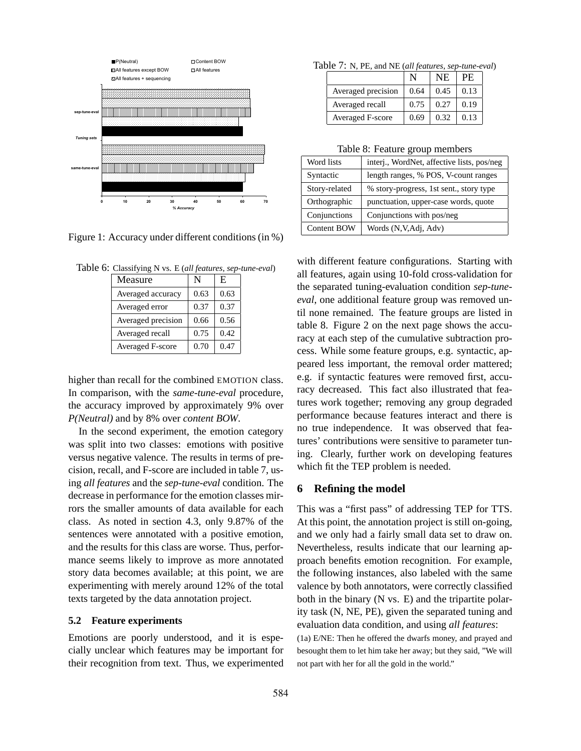

Figure 1: Accuracy under different conditions (in %)

Table 6: Classifying N vs. E (*all features*, *sep-tune-eval*)

| Measure                 |      | E    |
|-------------------------|------|------|
| Averaged accuracy       | 0.63 | 0.63 |
| Averaged error          | 0.37 | 0.37 |
| Averaged precision      | 0.66 | 0.56 |
| Averaged recall         | 0.75 | 0.42 |
| <b>Averaged F-score</b> | 0.70 | 0.47 |

higher than recall for the combined EMOTION class. In comparison, with the *same-tune-eval* procedure, the accuracy improved by approximately 9% over *P(Neutral)* and by 8% over *content BOW*.

In the second experiment, the emotion category was split into two classes: emotions with positive versus negative valence. The results in terms of precision, recall, and F-score are included in table 7, using *all features* and the *sep-tune-eval* condition. The decrease in performance for the emotion classes mirrors the smaller amounts of data available for each class. As noted in section 4.3, only 9.87% of the sentences were annotated with a positive emotion, and the results for this class are worse. Thus, performance seems likely to improve as more annotated story data becomes available; at this point, we are experimenting with merely around 12% of the total texts targeted by the data annotation project.

#### **5.2 Feature experiments**

Emotions are poorly understood, and it is especially unclear which features may be important for their recognition from text. Thus, we experimented

Table 7: N, PE, and NE (*all features*, *sep-tune-eval*)

|                         |      | NE.  | PE.  |
|-------------------------|------|------|------|
| Averaged precision      | 0.64 | 0.45 | 0.13 |
| Averaged recall         | 0.75 | 0.27 | 0.19 |
| <b>Averaged F-score</b> | 0.69 | 0.32 | 0.13 |

#### Table 8: Feature group members

| Word lists         | interj., WordNet, affective lists, pos/neg |
|--------------------|--------------------------------------------|
| Syntactic          | length ranges, % POS, V-count ranges       |
| Story-related      | % story-progress, 1st sent., story type    |
| Orthographic       | punctuation, upper-case words, quote       |
| Conjunctions       | Conjunctions with pos/neg                  |
| <b>Content BOW</b> | Words (N, V, Adj, Adv)                     |

with different feature configurations. Starting with all features, again using 10-fold cross-validation for the separated tuning-evaluation condition *sep-tuneeval*, one additional feature group was removed until none remained. The feature groups are listed in table 8. Figure 2 on the next page shows the accuracy at each step of the cumulative subtraction process. While some feature groups, e.g. syntactic, appeared less important, the removal order mattered; e.g. if syntactic features were removed first, accuracy decreased. This fact also illustrated that features work together; removing any group degraded performance because features interact and there is no true independence. It was observed that features' contributions were sensitive to parameter tuning. Clearly, further work on developing features which fit the TEP problem is needed.

#### **6 Refining the model**

This was a "first pass" of addressing TEP for TTS. At this point, the annotation project is still on-going, and we only had a fairly small data set to draw on. Nevertheless, results indicate that our learning approach benefits emotion recognition. For example, the following instances, also labeled with the same valence by both annotators, were correctly classified both in the binary (N vs. E) and the tripartite polarity task (N, NE, PE), given the separated tuning and evaluation data condition, and using *all features*:

(1a) E/NE: Then he offered the dwarfs money, and prayed and besought them to let him take her away; but they said, "We will not part with her for all the gold in the world."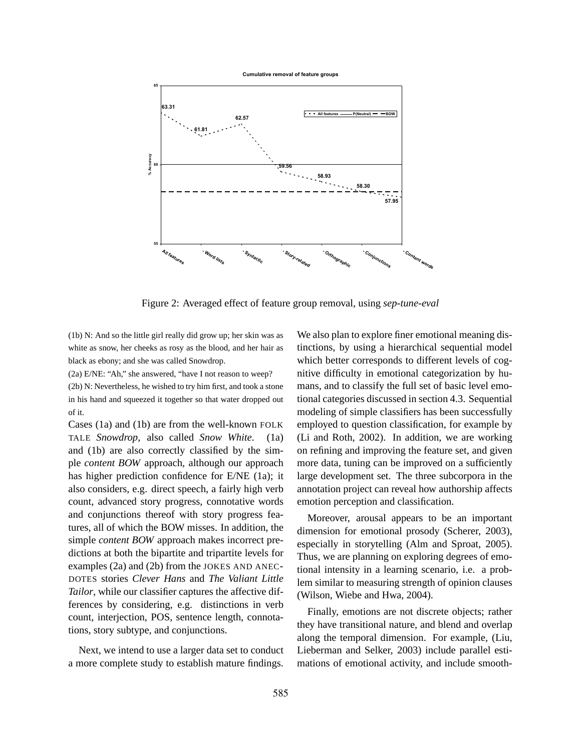

Figure 2: Averaged effect of feature group removal, using *sep-tune-eval*

(1b) N: And so the little girl really did grow up; her skin was as white as snow, her cheeks as rosy as the blood, and her hair as black as ebony; and she was called Snowdrop.

(2a) E/NE: "Ah," she answered, "have I not reason to weep?

(2b) N: Nevertheless, he wished to try him first, and took a stone in his hand and squeezed it together so that water dropped out of it.

Cases (1a) and (1b) are from the well-known FOLK TALE *Snowdrop*, also called *Snow White*. (1a) and (1b) are also correctly classified by the simple *content BOW* approach, although our approach has higher prediction confidence for E/NE (1a); it also considers, e.g. direct speech, a fairly high verb count, advanced story progress, connotative words and conjunctions thereof with story progress features, all of which the BOW misses. In addition, the simple *content BOW* approach makes incorrect predictions at both the bipartite and tripartite levels for examples (2a) and (2b) from the JOKES AND ANEC-DOTES stories *Clever Hans* and *The Valiant Little Tailor*, while our classifier captures the affective differences by considering, e.g. distinctions in verb count, interjection, POS, sentence length, connotations, story subtype, and conjunctions.

Next, we intend to use a larger data set to conduct a more complete study to establish mature findings.

We also plan to explore finer emotional meaning distinctions, by using a hierarchical sequential model which better corresponds to different levels of cognitive difficulty in emotional categorization by humans, and to classify the full set of basic level emotional categories discussed in section 4.3. Sequential modeling of simple classifiers has been successfully employed to question classification, for example by (Li and Roth, 2002). In addition, we are working on refining and improving the feature set, and given more data, tuning can be improved on a sufficiently large development set. The three subcorpora in the annotation project can reveal how authorship affects emotion perception and classification.

Moreover, arousal appears to be an important dimension for emotional prosody (Scherer, 2003), especially in storytelling (Alm and Sproat, 2005). Thus, we are planning on exploring degrees of emotional intensity in a learning scenario, i.e. a problem similar to measuring strength of opinion clauses (Wilson, Wiebe and Hwa, 2004).

Finally, emotions are not discrete objects; rather they have transitional nature, and blend and overlap along the temporal dimension. For example, (Liu, Lieberman and Selker, 2003) include parallel estimations of emotional activity, and include smooth